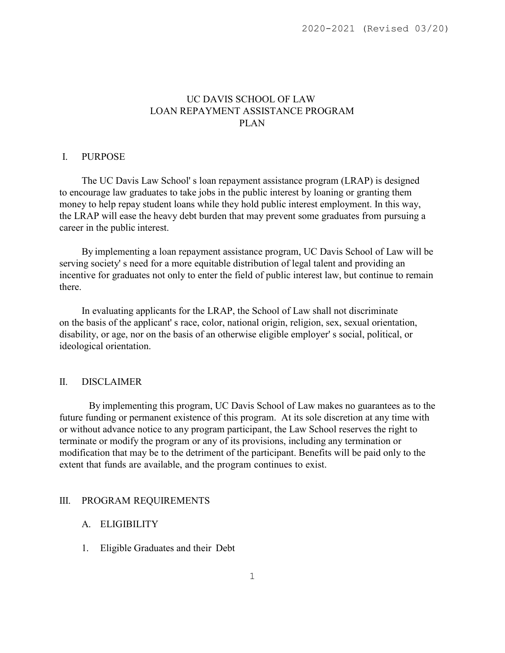# UC DAVIS SCHOOL OF LAW LOAN REPAYMENT ASSISTANCE PROGRAM PLAN

#### I. PURPOSE

The UC Davis Law School' s loan repayment assistance program (LRAP) is designed to encourage law graduates to take jobs in the public interest by loaning or granting them money to help repay student loans while they hold public interest employment. In this way, the LRAP will ease the heavy debt burden that may prevent some graduates from pursuing a career in the public interest.

By implementing a loan repayment assistance program, UC Davis School of Law will be serving society' s need for a more equitable distribution of legal talent and providing an incentive for graduates not only to enter the field of public interest law, but continue to remain there.

In evaluating applicants for the LRAP, the School of Law shall not discriminate on the basis of the applicant' s race, color, national origin, religion, sex, sexual orientation, disability, or age, nor on the basis of an otherwise eligible employer' s social, political, or ideological orientation.

### II. DISCLAIMER

By implementing this program, UC Davis School of Law makes no guarantees as to the future funding or permanent existence of this program. At its sole discretion at any time with or without advance notice to any program participant, the Law School reserves the right to terminate or modify the program or any of its provisions, including any termination or modification that may be to the detriment of the participant. Benefits will be paid only to the extent that funds are available, and the program continues to exist.

#### III. PROGRAM REQUIREMENTS

### A. ELIGIBILITY

1. Eligible Graduates and their Debt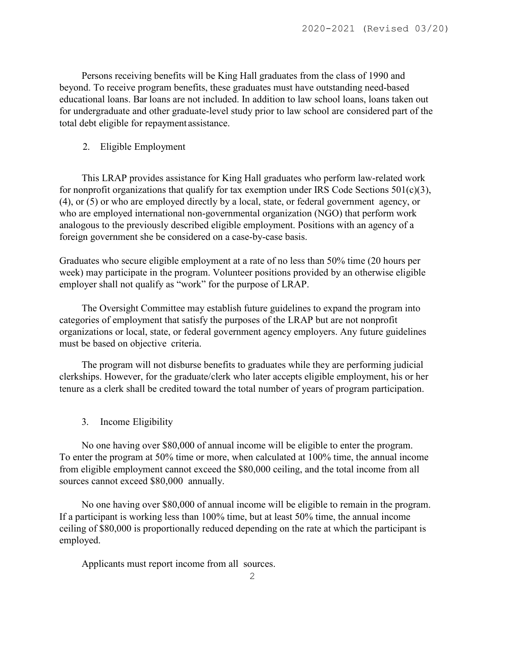Persons receiving benefits will be King Hall graduates from the class of 1990 and beyond. To receive program benefits, these graduates must have outstanding need-based educational loans. Bar loans are not included. In addition to law school loans, loans taken out for undergraduate and other graduate-level study prior to law school are considered part of the total debt eligible for repayment assistance.

### 2. Eligible Employment

This LRAP provides assistance for King Hall graduates who perform law-related work for nonprofit organizations that qualify for tax exemption under IRS Code Sections  $501(c)(3)$ , (4), or (5) or who are employed directly by a local, state, or federal government agency, or who are employed international non-governmental organization (NGO) that perform work analogous to the previously described eligible employment. Positions with an agency of a foreign government she be considered on a case-by-case basis.

Graduates who secure eligible employment at a rate of no less than 50% time (20 hours per week) may participate in the program. Volunteer positions provided by an otherwise eligible employer shall not qualify as "work" for the purpose of LRAP.

The Oversight Committee may establish future guidelines to expand the program into categories of employment that satisfy the purposes of the LRAP but are not nonprofit organizations or local, state, or federal government agency employers. Any future guidelines must be based on objective criteria.

The program will not disburse benefits to graduates while they are performing judicial clerkships. However, for the graduate/clerk who later accepts eligible employment, his or her tenure as a clerk shall be credited toward the total number of years of program participation.

3. Income Eligibility

No one having over \$80,000 of annual income will be eligible to enter the program. To enter the program at 50% time or more, when calculated at 100% time, the annual income from eligible employment cannot exceed the \$80,000 ceiling, and the total income from all sources cannot exceed \$80,000 annually.

No one having over \$80,000 of annual income will be eligible to remain in the program. If a participant is working less than 100% time, but at least 50% time, the annual income ceiling of \$80,000 is proportionally reduced depending on the rate at which the participant is employed.

Applicants must report income from all sources.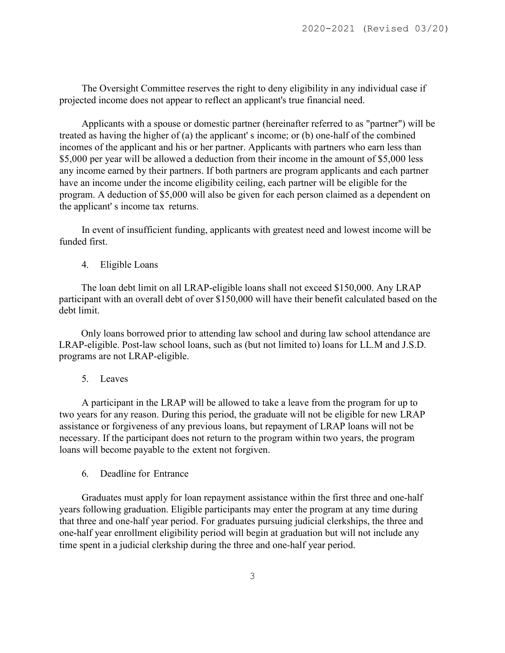The Oversight Committee reserves the right to deny eligibility in any individual case if projected income does not appear to reflect an applicant's true financial need.

Applicants with a spouse or domestic partner (hereinafter referred to as "partner") will be treated as having the higher of (a) the applicant' s income; or (b) one-half of the combined incomes of the applicant and his or her partner. Applicants with partners who earn less than \$5,000 per year will be allowed a deduction from their income in the amount of \$5,000 less any income earned by their partners. If both partners are program applicants and each partner have an income under the income eligibility ceiling, each partner will be eligible for the program. A deduction of \$5,000 will also be given for each person claimed as a dependent on the applicant' s income tax returns.

In event of insufficient funding, applicants with greatest need and lowest income will be funded first.

4. Eligible Loans

The loan debt limit on all LRAP-eligible loans shall not exceed \$150,000. Any LRAP participant with an overall debt of over \$150,000 will have their benefit calculated based on the debt limit.

Only loans borrowed prior to attending law school and during law school attendance are LRAP-eligible. Post-law school loans, such as (but not limited to) loans for LL.M and J.S.D. programs are not LRAP-eligible.

5. Leaves

A participant in the LRAP will be allowed to take a leave from the program for up to two years for any reason. During this period, the graduate will not be eligible for new LRAP assistance or forgiveness of any previous loans, but repayment of LRAP loans will not be necessary. If the participant does not return to the program within two years, the program loans will become payable to the extent not forgiven.

6. Deadline for Entrance

Graduates must apply for loan repayment assistance within the first three and one-half years following graduation. Eligible participants may enter the program at any time during that three and one-half year period. For graduates pursuing judicial clerkships, the three and one-half year enrollment eligibility period will begin at graduation but will not include any time spent in a judicial clerkship during the three and one-half year period.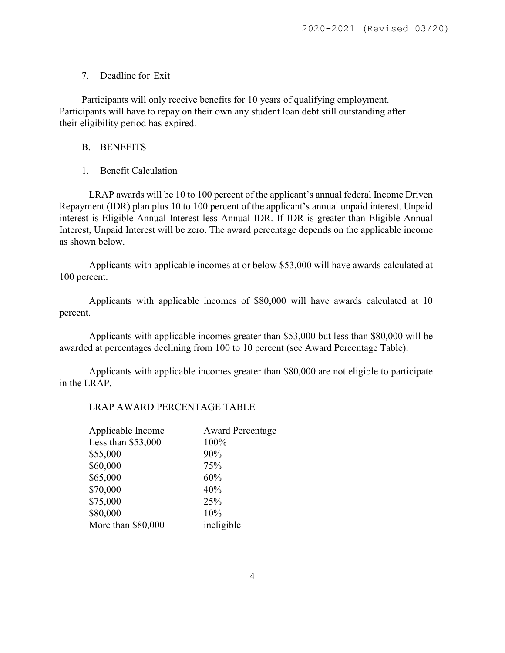# 7. Deadline for Exit

Participants will only receive benefits for 10 years of qualifying employment. Participants will have to repay on their own any student loan debt still outstanding after their eligibility period has expired.

## B. BENEFITS

# 1. Benefit Calculation

LRAP awards will be 10 to 100 percent of the applicant's annual federal Income Driven Repayment (IDR) plan plus 10 to 100 percent of the applicant's annual unpaid interest. Unpaid interest is Eligible Annual Interest less Annual IDR. If IDR is greater than Eligible Annual Interest, Unpaid Interest will be zero. The award percentage depends on the applicable income as shown below.

Applicants with applicable incomes at or below \$53,000 will have awards calculated at 100 percent.

Applicants with applicable incomes of \$80,000 will have awards calculated at 10 percent.

Applicants with applicable incomes greater than \$53,000 but less than \$80,000 will be awarded at percentages declining from 100 to 10 percent (see Award Percentage Table).

Applicants with applicable incomes greater than \$80,000 are not eligible to participate in the LRAP.

# LRAP AWARD PERCENTAGE TABLE

| Applicable Income   | <b>Award Percentage</b> |
|---------------------|-------------------------|
| Less than $$53,000$ | 100%                    |
| \$55,000            | 90%                     |
| \$60,000            | 75%                     |
| \$65,000            | 60%                     |
| \$70,000            | 40%                     |
| \$75,000            | 25%                     |
| \$80,000            | 10%                     |
| More than \$80,000  | ineligible              |
|                     |                         |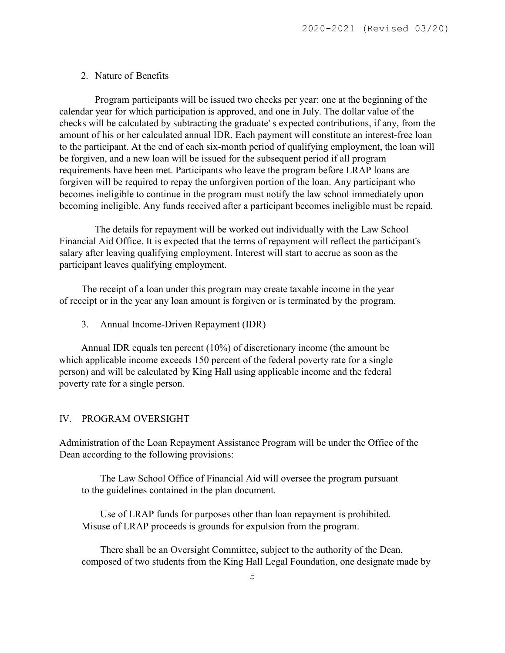### 2. Nature of Benefits

Program participants will be issued two checks per year: one at the beginning of the calendar year for which participation is approved, and one in July. The dollar value of the checks will be calculated by subtracting the graduate' s expected contributions, if any, from the amount of his or her calculated annual IDR. Each payment will constitute an interest-free loan to the participant. At the end of each six-month period of qualifying employment, the loan will be forgiven, and a new loan will be issued for the subsequent period if all program requirements have been met. Participants who leave the program before LRAP loans are forgiven will be required to repay the unforgiven portion of the loan. Any participant who becomes ineligible to continue in the program must notify the law school immediately upon becoming ineligible. Any funds received after a participant becomes ineligible must be repaid.

The details for repayment will be worked out individually with the Law School Financial Aid Office. It is expected that the terms of repayment will reflect the participant's salary after leaving qualifying employment. Interest will start to accrue as soon as the participant leaves qualifying employment.

The receipt of a loan under this program may create taxable income in the year of receipt or in the year any loan amount is forgiven or is terminated by the program.

3. Annual Income-Driven Repayment (IDR)

Annual IDR equals ten percent (10%) of discretionary income (the amount be which applicable income exceeds 150 percent of the federal poverty rate for a single person) and will be calculated by King Hall using applicable income and the federal poverty rate for a single person.

### IV. PROGRAM OVERSIGHT

Administration of the Loan Repayment Assistance Program will be under the Office of the Dean according to the following provisions:

The Law School Office of Financial Aid will oversee the program pursuant to the guidelines contained in the plan document.

Use of LRAP funds for purposes other than loan repayment is prohibited. Misuse of LRAP proceeds is grounds for expulsion from the program.

There shall be an Oversight Committee, subject to the authority of the Dean, composed of two students from the King Hall Legal Foundation, one designate made by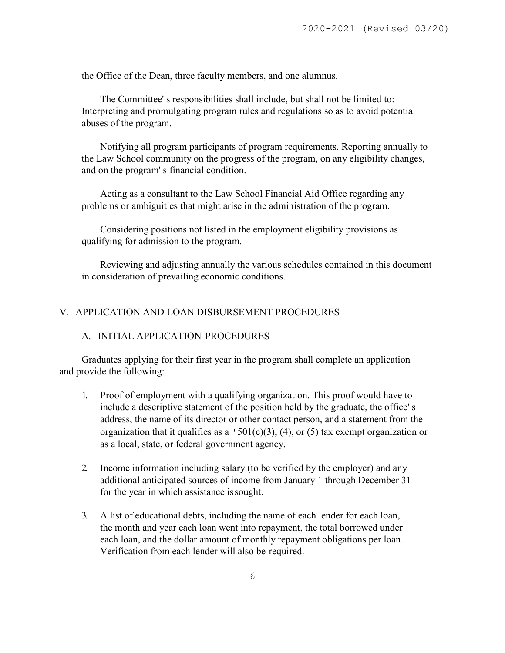the Office of the Dean, three faculty members, and one alumnus.

The Committee' s responsibilities shall include, but shall not be limited to: Interpreting and promulgating program rules and regulations so as to avoid potential abuses of the program.

Notifying all program participants of program requirements. Reporting annually to the Law School community on the progress of the program, on any eligibility changes, and on the program' s financial condition.

Acting as a consultant to the Law School Financial Aid Office regarding any problems or ambiguities that might arise in the administration of the program.

Considering positions not listed in the employment eligibility provisions as qualifying for admission to the program.

Reviewing and adjusting annually the various schedules contained in this document in consideration of prevailing economic conditions.

## V. APPLICATION AND LOAN DISBURSEMENT PROCEDURES

### A. INITIAL APPLICATION PROCEDURES

Graduates applying for their first year in the program shall complete an application and provide the following:

- 1. Proof of employment with a qualifying organization. This proof would have to include a descriptive statement of the position held by the graduate, the office' s address, the name of its director or other contact person, and a statement from the organization that it qualifies as a  $\text{'}501(c)(3)$ , (4), or (5) tax exempt organization or as a local, state, or federal government agency.
- 2. Income information including salary (to be verified by the employer) and any additional anticipated sources of income from January 1 through December 31 for the year in which assistance issought.
- 3. A list of educational debts, including the name of each lender for each loan, the month and year each loan went into repayment, the total borrowed under each loan, and the dollar amount of monthly repayment obligations per loan. Verification from each lender will also be required.